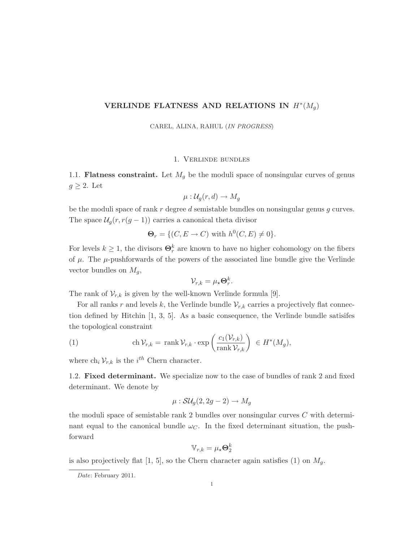# VERLINDE FLATNESS AND RELATIONS IN  $H^*(M_g)$

CAREL, ALINA, RAHUL (IN PROGRESS)

## 1. Verlinde bundles

1.1. **Flatness constraint.** Let  $M<sub>g</sub>$  be the moduli space of nonsingular curves of genus  $g \geq 2$ . Let

$$
\mu: \mathcal{U}_g(r, d) \to M_g
$$

be the moduli space of rank  $r$  degree  $d$  semistable bundles on nonsingular genus  $q$  curves. The space  $\mathcal{U}_g(r, r(g-1))$  carries a canonical theta divisor

$$
\Theta_r = \{ (C, E \to C) \text{ with } h^0(C, E) \neq 0 \}.
$$

For levels  $k \geq 1$ , the divisors  $\Theta_r^k$  are known to have no higher cohomology on the fibers of  $\mu$ . The  $\mu$ -pushforwards of the powers of the associated line bundle give the Verlinde vector bundles on  $M_g$ ,

$$
\mathcal{V}_{r,k} = \mu_{\star} \mathbf{\Theta}_r^k.
$$

The rank of  $V_{r,k}$  is given by the well-known Verlinde formula [9].

For all ranks r and levels k, the Verlinde bundle  $V_{r,k}$  carries a projectively flat connection defined by Hitchin [1, 3, 5]. As a basic consequence, the Verlinde bundle satisifes the topological constraint

(1) 
$$
\operatorname{ch} \mathcal{V}_{r,k} = \operatorname{rank} \mathcal{V}_{r,k} \cdot \exp \left( \frac{c_1(\mathcal{V}_{r,k})}{\operatorname{rank} \mathcal{V}_{r,k}} \right) \in H^*(M_g),
$$

where  $\ch_i \mathcal{V}_{r,k}$  is the  $i^{th}$  Chern character.

1.2. Fixed determinant. We specialize now to the case of bundles of rank 2 and fixed determinant. We denote by

$$
\mu: \mathcal{SU}_g(2, 2g-2) \to M_g
$$

the moduli space of semistable rank 2 bundles over nonsingular curves C with determinant equal to the canonical bundle  $\omega_C$ . In the fixed determinant situation, the pushforward

$$
\mathbb{V}_{r,k} = \mu_\star \mathbf{\Theta}_2^k
$$

is also projectively flat [1, 5], so the Chern character again satisfies (1) on  $M_q$ .

Date: February 2011.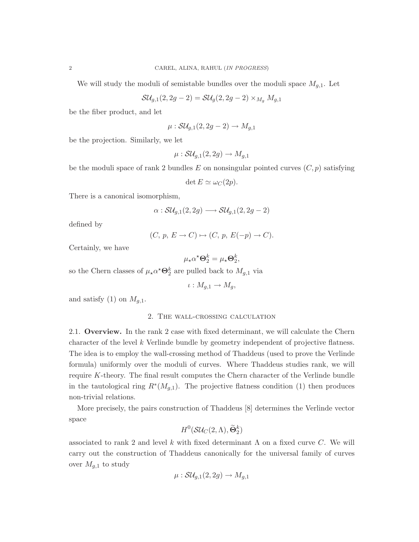We will study the moduli of semistable bundles over the moduli space  $M_{q,1}$ . Let

$$
\mathcal{SU}_{g,1}(2,2g-2)=\mathcal{SU}_g(2,2g-2)\times_{M_g} M_{g,1}
$$

be the fiber product, and let

$$
\mu: \mathcal{SU}_{g,1}(2,2g-2)\to M_{g,1}
$$

be the projection. Similarly, we let

$$
\mu: \mathcal{SU}_{g,1}(2,2g)\to M_{g,1}
$$

be the moduli space of rank 2 bundles E on nonsingular pointed curves  $(C, p)$  satisfying

$$
\det E \simeq \omega_C(2p).
$$

There is a canonical isomorphism,

$$
\alpha: \mathcal{SU}_{g,1}(2,2g) \longrightarrow \mathcal{SU}_{g,1}(2,2g-2)
$$

defined by

$$
(C, p, E \to C) \mapsto (C, p, E(-p) \to C).
$$

Certainly, we have

$$
\mu_{\star}\alpha^{\star}\mathbf{\Theta}_{2}^{k}=\mu_{\star}\mathbf{\Theta}_{2}^{k},
$$

so the Chern classes of  $\mu_{\star}\alpha^{\star}\Theta_2^k$  are pulled back to  $M_{g,1}$  via

 $\iota: M_{q,1} \to M_q$ 

and satisfy (1) on  $M_{q,1}$ .

## 2. The wall-crossing calculation

2.1. Overview. In the rank 2 case with fixed determinant, we will calculate the Chern character of the level k Verlinde bundle by geometry independent of projective flatness. The idea is to employ the wall-crossing method of Thaddeus (used to prove the Verlinde formula) uniformly over the moduli of curves. Where Thaddeus studies rank, we will require K-theory. The final result computes the Chern character of the Verlinde bundle in the tautological ring  $R^*(M_{g,1})$ . The projective flatness condition (1) then produces non-trivial relations.

More precisely, the pairs construction of Thaddeus [8] determines the Verlinde vector space

$$
H^0({\cal S}{\cal U}_C(2,\Lambda), \widetilde{\Theta}^k_2)
$$

associated to rank 2 and level k with fixed determinant  $\Lambda$  on a fixed curve C. We will carry out the construction of Thaddeus canonically for the universal family of curves over  $M_{g,1}$  to study

$$
\mu: \mathcal{SU}_{g,1}(2,2g)\to M_{g,1}
$$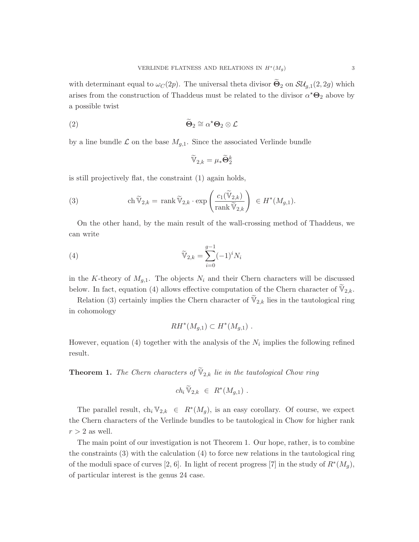with determinant equal to  $\omega_C(2p)$ . The universal theta divisor  $\tilde{\Theta}_2$  on  $\mathcal{SU}_{g,1}(2,2g)$  which arises from the construction of Thaddeus must be related to the divisor  $\alpha^* \Theta_2$  above by a possible twist

(2) 
$$
\widetilde{\Theta}_2 \cong \alpha^* \Theta_2 \otimes \mathcal{L}
$$

by a line bundle  $\mathcal L$  on the base  $M_{q,1}$ . Since the associated Verlinde bundle

$$
\widetilde{\mathbb{V}}_{2,k}=\mu_*\widetilde{\mathbf{\Theta}}_2^k
$$

is still projectively flat, the constraint (1) again holds,

(3) 
$$
\operatorname{ch} \widetilde{\mathbb{V}}_{2,k} = \operatorname{rank} \widetilde{\mathbb{V}}_{2,k} \cdot \exp \left( \frac{c_1(\widetilde{\mathbb{V}}_{2,k})}{\operatorname{rank} \widetilde{\mathbb{V}}_{2,k}} \right) \in H^*(M_{g,1}).
$$

On the other hand, by the main result of the wall-crossing method of Thaddeus, we can write

(4) 
$$
\widetilde{\mathbb{V}}_{2,k} = \sum_{i=0}^{g-1} (-1)^i N_i
$$

in the K-theory of  $M_{q,1}$ . The objects  $N_i$  and their Chern characters will be discussed below. In fact, equation (4) allows effective computation of the Chern character of  $\mathbb{V}_{2,k}$ .

Relation (3) certainly implies the Chern character of  $\mathbb{V}_{2,k}$  lies in the tautological ring in cohomology

$$
RH^*(M_{g,1}) \subset H^*(M_{g,1}) .
$$

However, equation (4) together with the analysis of the  $N_i$  implies the following refined result.

**Theorem 1.** The Chern characters of  $\mathbb{V}_{2,k}$  lie in the tautological Chow ring

$$
ch_i\,\widetilde{\mathbb{V}}_{2,k}\ \in\ R^*(M_{g,1})\ .
$$

The parallel result,  $\ch_i \mathbb{V}_{2,k} \in R^*(M_g)$ , is an easy corollary. Of course, we expect the Chern characters of the Verlinde bundles to be tautological in Chow for higher rank  $r > 2$  as well.

The main point of our investigation is not Theorem 1. Our hope, rather, is to combine the constraints (3) with the calculation (4) to force new relations in the tautological ring of the moduli space of curves [2, 6]. In light of recent progress [7] in the study of  $R^*(M_g)$ , of particular interest is the genus 24 case.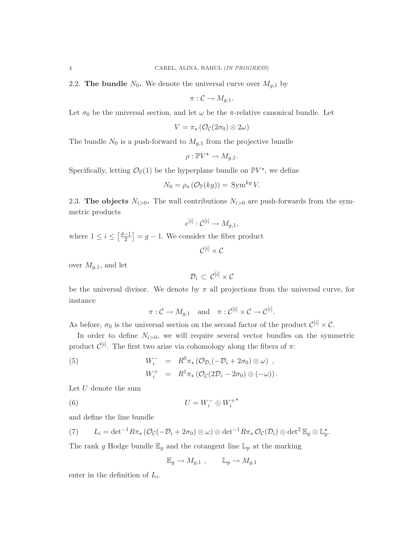2.2. The bundle  $N_0$ . We denote the universal curve over  $M_{q,1}$  by

$$
\pi:\mathcal{C}\to M_{g,1}.
$$

Let  $\sigma_0$  be the universal section, and let  $\omega$  be the  $\pi$ -relative canonical bundle. Let

$$
V = \pi_{\star} \left( \mathcal{O}_{\mathcal{C}}(2\sigma_0) \otimes 2\omega \right)
$$

The bundle  $N_0$  is a push-forward to  $M_{g,1}$  from the projective bundle

$$
\rho: \mathbb{P} V^* \to M_{g,1}.
$$

Specifically, letting  $\mathcal{O}_{\mathbb{P}}(1)$  be the hyperplane bundle on  $\mathbb{P}V^*$ , we define

$$
N_0 = \rho_\star \left( \mathcal{O}_\mathbb{P}(kg) \right) = \text{Sym}^{kg} V.
$$

2.3. The objects  $N_{i>0}$ . The wall contributions  $N_{i>0}$  are push-forwards from the symmetric products

$$
\epsilon^{[i]} : \mathcal{C}^{[i]} \to M_{g,1},
$$

where  $1 \leq i \leq \left\lceil \frac{d-1}{2} \right\rceil$  $\left[\frac{-1}{2}\right] = g - 1$ . We consider the fiber product

$$
\mathcal{C}^{[i]}\times \mathcal{C}
$$

over  $M_{g,1}$ , and let

$$
\mathcal{D}_i \, \subset \, \mathcal{C}^{[i]} \times \mathcal{C}
$$

be the universal divisor. We denote by  $\pi$  all projections from the universal curve, for instance

 $\pi: \mathcal{C} \to M_{g,1} \quad \text{and} \quad \pi: \mathcal{C}^{[i]} \times \mathcal{C} \to \mathcal{C}^{[i]}.$ 

As before,  $\sigma_0$  is the universal section on the second factor of the product  $\mathcal{C}^{[i]} \times \mathcal{C}$ .

In order to define  $N_{i>0}$ , we will require several vector bundles on the symmetric product  $\mathcal{C}^{[i]}$ . The first two arise via cohomology along the fibers of  $\pi$ :

(5) 
$$
W_i^- = R^0 \pi_\star \left( \mathcal{O}_{\mathcal{D}_i}(-\mathcal{D}_i + 2\sigma_0) \otimes \omega \right) ,
$$

$$
W_i^+ = R^1 \pi_\star \left( \mathcal{O}_{\mathcal{C}}(2\mathcal{D}_i - 2\sigma_0) \otimes (-\omega) \right).
$$

Let  $U$  denote the sum

$$
(6) \t\t\t U = W_i^- \oplus W_i^{+\star}
$$

and define the line bundle

(7) 
$$
L_i = \det^{-1} R\pi_\star \left( \mathcal{O}_{\mathcal{C}}(-\mathcal{D}_i + 2\sigma_0) \otimes \omega \right) \otimes \det^{-1} R\pi_\star \mathcal{O}_{\mathcal{C}}(\mathcal{D}_i) \otimes \det^2 \mathbb{E}_g \otimes \mathbb{L}_p^\star.
$$

The rank g Hodge bundle  $\mathbb{E}_g$  and the cotangent line  $\mathbb{L}_p$  at the marking

$$
\mathbb{E}_g \to M_{g,1} , \qquad \mathbb{L}_p \to M_{g,1}
$$

enter in the definition of  $L_i$ .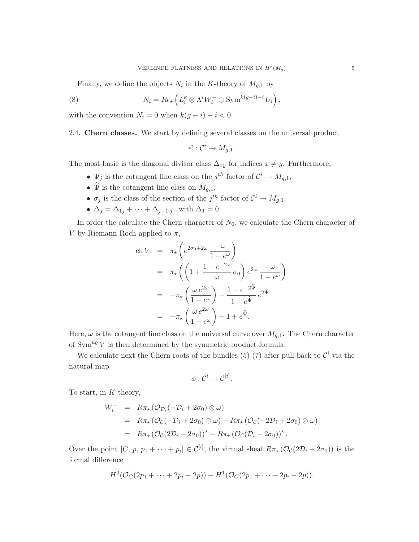,

Finally, we define the objects  $N_i$  in the K-theory of  $M_{g,1}$  by

(8) 
$$
N_i = R\epsilon_\star \left( L_i^k \otimes \Lambda^i W_i^- \otimes \text{Sym}^{k(g-i)-i} U_i \right)
$$

with the convention  $N_i = 0$  when  $k(g - i) - i < 0$ .

2.4. Chern classes. We start by defining several classes on the universal product

$$
\epsilon^i: \mathcal{C}^i \to M_{g,1}.
$$

The most basic is the diagonal divisor class  $\Delta_{xy}$  for indices  $x \neq y$ . Furthermore,

- $\Psi_j$  is the cotangent line class on the j<sup>th</sup> factor of  $\mathcal{C}^i \to M_{g,1}$ ,
- $\widehat{\Psi}$  is the cotangent line class on  $M_{g,1}$ ,
- $\sigma_j$  is the class of the section of the j<sup>th</sup> factor of  $\mathcal{C}^i \to M_{g,1}$ ,
- $\Delta_j = \Delta_{1j} + \cdots + \Delta_{j-1,j}$ , with  $\Delta_1 = 0$ .

In order the calculate the Chern character of  $N_0$ , we calculate the Chern character of V by Riemann-Roch applied to  $\pi$ ,

$$
\begin{array}{rcl}\n\text{ch } V & = & \pi_{\star} \left( e^{2\sigma_0 + 2\omega} \frac{-\omega}{1 - e^{\omega}} \right) \\
& = & \pi_{\star} \left( \left( 1 + \frac{1 - e^{-2\omega}}{\omega} \sigma_0 \right) e^{2\omega} \frac{-\omega}{1 - e^{\omega}} \right) \\
& = & -\pi_{\star} \left( \frac{\omega e^{2\omega}}{1 - e^{\omega}} \right) - \frac{1 - e^{-2\hat{\Psi}}}{1 - e^{\hat{\Psi}}} e^{2\hat{\Psi}} \\
& = & -\pi_{\star} \left( \frac{\omega e^{2\omega}}{1 - e^{\omega}} \right) + 1 + e^{\hat{\Psi}}.\n\end{array}
$$

Here,  $\omega$  is the cotangent line class on the universal curve over  $M_{g,1}$ . The Chern character of  $\mathrm{Sym}^{kg} \, V$  is then determined by the symmetric product formula.

We calculate next the Chern roots of the bundles (5)-(7) after pull-back to  $\mathcal{C}^i$  via the natural map

$$
\phi: \mathcal{C}^i \to \mathcal{C}^{[i]}.
$$

To start, in K-theory,

$$
W_i^- = R\pi_\star (\mathcal{O}_{\mathcal{D}_i}(-\mathcal{D}_i + 2\sigma_0) \otimes \omega)
$$
  
=  $R\pi_\star (\mathcal{O}_{\mathcal{C}}(-\mathcal{D}_i + 2\sigma_0) \otimes \omega) - R\pi_\star (\mathcal{O}_{\mathcal{C}}(-2\mathcal{D}_i + 2\sigma_0) \otimes \omega)$   
=  $R\pi_\star (\mathcal{O}_{\mathcal{C}}(2\mathcal{D}_i - 2\sigma_0))^* - R\pi_\star (\mathcal{O}_{\mathcal{C}}(\mathcal{D}_i - 2\sigma_0))^*.$ 

Over the point  $[C, p, p_1 + \cdots + p_i] \in \mathcal{C}^{[i]}$ , the virtual sheaf  $R\pi_\star (\mathcal{O}_{\mathcal{C}}(2\mathcal{D}_i - 2\sigma_0))$  is the formal difference

$$
H^{0}(\mathcal{O}_{C}(2p_{1}+\cdots+2p_{i}-2p)) - H^{1}(\mathcal{O}_{C}(2p_{1}+\cdots+2p_{i}-2p)).
$$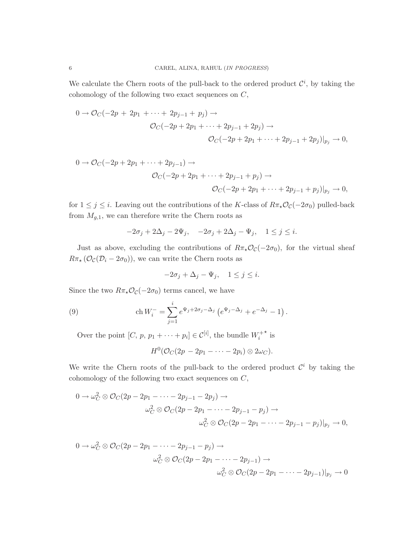We calculate the Chern roots of the pull-back to the ordered product  $\mathcal{C}^i$ , by taking the cohomology of the following two exact sequences on C,

$$
0 \to \mathcal{O}_C(-2p + 2p_1 + \dots + 2p_{j-1} + p_j) \to
$$
  

$$
\mathcal{O}_C(-2p + 2p_1 + \dots + 2p_{j-1} + 2p_j) \to
$$
  

$$
\mathcal{O}_C(-2p + 2p_1 + \dots + 2p_{j-1} + 2p_j)|_{p_j} \to 0,
$$

$$
0 \to \mathcal{O}_C(-2p + 2p_1 + \dots + 2p_{j-1}) \to
$$
  

$$
\mathcal{O}_C(-2p + 2p_1 + \dots + 2p_{j-1} + p_j) \to
$$
  

$$
\mathcal{O}_C(-2p + 2p_1 + \dots + 2p_{j-1} + p_j)|_{p_j} \to 0,
$$

for  $1 \leq j \leq i$ . Leaving out the contributions of the K-class of  $R\pi_{\star}\mathcal{O}_{\mathcal{C}}(-2\sigma_0)$  pulled-back from  $M_{g,1}$ , we can therefore write the Chern roots as

$$
-2\sigma_j + 2\Delta_j - 2\Psi_j, \quad -2\sigma_j + 2\Delta_j - \Psi_j, \quad 1 \le j \le i.
$$

Just as above, excluding the contributions of  $R\pi_{\star}\mathcal{O}_{\mathcal{C}}(-2\sigma_0)$ , for the virtual sheaf  $R\pi_{\star}(\mathcal{O}_{\mathcal{C}}(\mathcal{D}_{i}-2\sigma_{0})),$  we can write the Chern roots as

$$
-2\sigma_j + \Delta_j - \Psi_j, \quad 1 \le j \le i.
$$

Since the two  $R\pi_{\star}\mathcal{O}_{\mathcal{C}}(-2\sigma_0)$  terms cancel, we have

(9) 
$$
\operatorname{ch} W_i^- = \sum_{j=1}^i e^{\Psi_j + 2\sigma_j - \Delta_j} \left( e^{\Psi_j - \Delta_j} + e^{-\Delta_j} - 1 \right).
$$

Over the point  $[C, p, p_1 + \cdots + p_i] \in \mathcal{C}^{[i]}$ , the bundle  $W_i^+$  $*$  is

$$
H^0(\mathcal{O}_C(2p-2p_1-\cdots-2p_i)\otimes 2\omega_C).
$$

We write the Chern roots of the pull-back to the ordered product  $\mathcal{C}^i$  by taking the cohomology of the following two exact sequences on C,

$$
0 \to \omega_C^2 \otimes \mathcal{O}_C(2p - 2p_1 - \cdots - 2p_{j-1} - 2p_j) \to
$$
  

$$
\omega_C^2 \otimes \mathcal{O}_C(2p - 2p_1 - \cdots - 2p_{j-1} - p_j) \to
$$
  

$$
\omega_C^2 \otimes \mathcal{O}_C(2p - 2p_1 - \cdots - 2p_{j-1} - p_j)|_{p_j} \to 0,
$$

$$
0 \to \omega_C^2 \otimes \mathcal{O}_C(2p - 2p_1 - \dots - 2p_{j-1} - p_j) \to
$$
  

$$
\omega_C^2 \otimes \mathcal{O}_C(2p - 2p_1 - \dots - 2p_{j-1}) \to
$$
  

$$
\omega_C^2 \otimes \mathcal{O}_C(2p - 2p_1 - \dots - 2p_{j-1})|_{p_j} \to 0
$$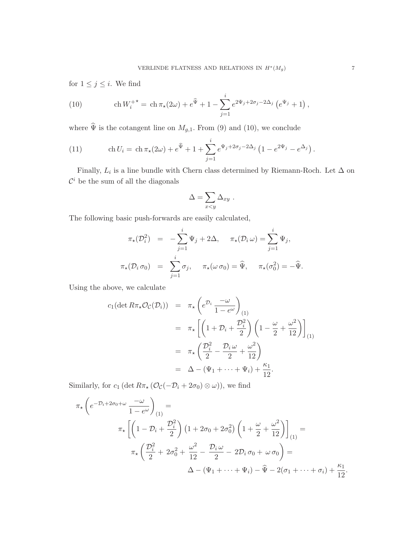for  $1 \leq j \leq i$ . We find

(10) 
$$
\operatorname{ch} W_i^{+*} = \operatorname{ch} \pi_*(2\omega) + e^{\widehat{\Psi}} + 1 - \sum_{j=1}^i e^{2\Psi_j + 2\sigma_j - 2\Delta_j} \left( e^{\Psi_j} + 1 \right),
$$

where  $\hat{\Psi}$  is the cotangent line on  $M_{g,1}$ . From (9) and (10), we conclude

(11) 
$$
\operatorname{ch} U_i = \operatorname{ch} \pi_*(2\omega) + e^{\widehat{\Psi}} + 1 + \sum_{j=1}^i e^{\Psi_j + 2\sigma_j - 2\Delta_j} \left( 1 - e^{2\Psi_j} - e^{\Delta_j} \right).
$$

Finally,  $L_i$  is a line bundle with Chern class determined by Riemann-Roch. Let  $\Delta$  on  $\mathcal{C}^i$  be the sum of all the diagonals

$$
\Delta = \sum_{x < y} \Delta_{xy} .
$$

The following basic push-forwards are easily calculated,

$$
\pi_{\star}(\mathcal{D}_{i}^{2}) = -\sum_{j=1}^{i} \Psi_{j} + 2\Delta, \quad \pi_{\star}(\mathcal{D}_{i} \omega) = \sum_{j=1}^{i} \Psi_{j},
$$

$$
\pi_{\star}(\mathcal{D}_{i} \sigma_{0}) = \sum_{j=1}^{i} \sigma_{j}, \quad \pi_{\star}(\omega \sigma_{0}) = \widehat{\Psi}, \quad \pi_{\star}(\sigma_{0}^{2}) = -\widehat{\Psi}.
$$

Using the above, we calculate

$$
c_1(\det R\pi_\star \mathcal{O}_{\mathcal{C}}(\mathcal{D}_i)) = \pi_\star \left( e^{\mathcal{D}_i} \frac{-\omega}{1 - e^{\omega}} \right)_{(1)}
$$
  

$$
= \pi_\star \left[ \left( 1 + \mathcal{D}_i + \frac{\mathcal{D}_i^2}{2} \right) \left( 1 - \frac{\omega}{2} + \frac{\omega^2}{12} \right) \right]_{(1)}
$$
  

$$
= \pi_\star \left( \frac{\mathcal{D}_i^2}{2} - \frac{\mathcal{D}_i \omega}{2} + \frac{\omega^2}{12} \right)
$$
  

$$
= \Delta - (\Psi_1 + \dots + \Psi_i) + \frac{\kappa_1}{12}.
$$

Similarly, for  $c_1$  (det  $R\pi_\star$  ( $\mathcal{O}_{\mathcal{C}}(-\mathcal{D}_i + 2\sigma_0) \otimes \omega$ )), we find

$$
\pi_{\star} \left( e^{-\mathcal{D}_{i} + 2\sigma_{0} + \omega} \frac{-\omega}{1 - e^{\omega}} \right)_{(1)} =
$$
\n
$$
\pi_{\star} \left[ \left( 1 - \mathcal{D}_{i} + \frac{\mathcal{D}_{i}^{2}}{2} \right) \left( 1 + 2\sigma_{0} + 2\sigma_{0}^{2} \right) \left( 1 + \frac{\omega}{2} + \frac{\omega^{2}}{12} \right) \right]_{(1)} =
$$
\n
$$
\pi_{\star} \left( \frac{\mathcal{D}_{i}^{2}}{2} + 2\sigma_{0}^{2} + \frac{\omega^{2}}{12} - \frac{\mathcal{D}_{i} \omega}{2} - 2\mathcal{D}_{i} \sigma_{0} + \omega \sigma_{0} \right) =
$$
\n
$$
\Delta - (\Psi_{1} + \dots + \Psi_{i}) - \widehat{\Psi} - 2(\sigma_{1} + \dots + \sigma_{i}) + \frac{\kappa_{1}}{12}.
$$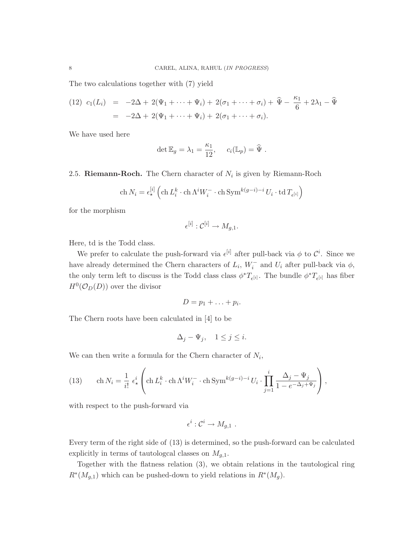The two calculations together with (7) yield

(12) 
$$
c_1(L_i) = -2\Delta + 2(\Psi_1 + \cdots + \Psi_i) + 2(\sigma_1 + \cdots + \sigma_i) + \hat{\Psi} - \frac{\kappa_1}{6} + 2\lambda_1 - \hat{\Psi}
$$
  
=  $-2\Delta + 2(\Psi_1 + \cdots + \Psi_i) + 2(\sigma_1 + \cdots + \sigma_i).$ 

We have used here

$$
\det \mathbb{E}_g = \lambda_1 = \frac{\kappa_1}{12}, \quad c_i(\mathbb{L}_p) = \widehat{\Psi} .
$$

2.5. Riemann-Roch. The Chern character of  $N_i$  is given by Riemann-Roch

$$
\mathrm{ch}\, N_i = \epsilon_\star^{[i]} \left( \mathrm{ch}\, L_i^k \cdot \mathrm{ch}\, \Lambda^i W_i^- \cdot \mathrm{ch}\, \mathrm{Sym}^{k(g-i)-i} U_i \cdot \mathrm{td}\, T_{\epsilon^{[i]}} \right)
$$

for the morphism

$$
\epsilon^{[i]} : \mathcal{C}^{[i]} \to M_{g,1}.
$$

Here, td is the Todd class.

We prefer to calculate the push-forward via  $\epsilon^{[i]}$  after pull-back via  $\phi$  to  $\mathcal{C}^i$ . Since we have already determined the Chern characters of  $L_i$ ,  $W_i^-$  and  $U_i$  after pull-back via  $\phi$ , the only term left to discuss is the Todd class class  $\phi^* T_{\epsilon}[i]$ . The bundle  $\phi^* T_{\epsilon}[i]$  has fiber  $H^0(\mathcal{O}_D(D))$  over the divisor

$$
D=p_1+\ldots+p_i.
$$

The Chern roots have been calculated in [4] to be

$$
\Delta_j - \Psi_j, \quad 1 \le j \le i.
$$

We can then write a formula for the Chern character of  $N_i$ ,

(13) 
$$
\operatorname{ch} N_i = \frac{1}{i!} \epsilon^i_{\star} \left( \operatorname{ch} L_i^k \cdot \operatorname{ch} \Lambda^i W_i^- \cdot \operatorname{ch} \operatorname{Sym}^{k(g-i)-i} U_i \cdot \prod_{j=1}^i \frac{\Delta_j - \Psi_j}{1 - e^{-\Delta_j + \Psi_j}} \right),
$$

with respect to the push-forward via

$$
\epsilon^i: \mathcal{C}^i \to M_{g,1} .
$$

Every term of the right side of (13) is determined, so the push-forward can be calculated explicitly in terms of tautologcal classes on  $M_{g,1}$ .

Together with the flatness relation (3), we obtain relations in the tautological ring  $R^*(M_{g,1})$  which can be pushed-down to yield relations in  $R^*(M_g)$ .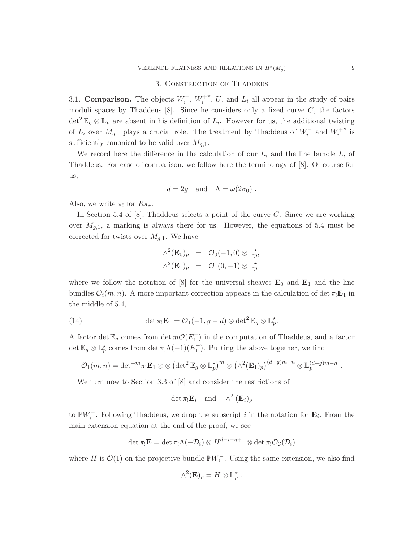#### 3. CONSTRUCTION OF THADDEUS

3.1. **Comparison.** The objects  $W_i^-$ ,  $W_i^+$  $\star$ , U, and  $L_i$  all appear in the study of pairs moduli spaces by Thaddeus  $[8]$ . Since he considers only a fixed curve  $C$ , the factors  $\det^2 \mathbb{E}_g \otimes \mathbb{L}_p$  are absent in his definition of  $L_i$ . However for us, the additional twisting of  $L_i$  over  $M_{g,1}$  plays a crucial role. The treatment by Thaddeus of  $W_i^-$  and  $W_i^+$  $*$  is sufficiently canonical to be valid over  $M_{g,1}$ .

We record here the difference in the calculation of our  $L_i$  and the line bundle  $L_i$  of Thaddeus. For ease of comparison, we follow here the terminology of [8]. Of course for us,

$$
d = 2g
$$
 and  $\Lambda = \omega(2\sigma_0)$ .

Also, we write  $\pi_!$  for  $R\pi_*$ .

In Section 5.4 of [8], Thaddeus selects a point of the curve C. Since we are working over  $M_{q,1}$ , a marking is always there for us. However, the equations of 5.4 must be corrected for twists over  $M_{g,1}$ . We have

$$
\begin{array}{rcl}\n\wedge^2(\mathbf{E}_0)_p &=& \mathcal{O}_0(-1,0) \otimes \mathbb{L}_p^\star, \\
\wedge^2(\mathbf{E}_1)_p &=& \mathcal{O}_1(0,-1) \otimes \mathbb{L}_p^\star\n\end{array}
$$

where we follow the notation of  $[8]$  for the universal sheaves  $\mathbf{E}_0$  and  $\mathbf{E}_1$  and the line bundles  $\mathcal{O}_i(m,n)$ . A more important correction appears in the calculation of det  $\pi_! \mathbf{E}_1$  in the middle of 5.4,

(14) 
$$
\det \pi_! \mathbf{E}_1 = \mathcal{O}_1(-1, g - d) \otimes \det^2 \mathbb{E}_g \otimes \mathbb{L}_p^{\star}.
$$

A factor det  $\mathbb{E}_g$  comes from det  $\pi_! \mathcal{O}(E_1^+)$  in the computation of Thaddeus, and a factor  $\det \mathbb{E}_g \otimes \mathbb{L}_p^*$  comes from  $\det \pi_! \Lambda(-1)(E_1^+)$ . Putting the above together, we find

$$
\mathcal{O}_1(m,n)=\det{}^{-m}\pi_!{\bf E}_1\otimes\otimes\left(\det{}^2\mathbb{E}_g\otimes\mathbb{L}_p^\star\right)^m\otimes\left(\wedge^2({\bf E}_1)_p\right)^{(d-g)m-n}\otimes\mathbb{L}_p^{(d-g)m-n}.
$$

We turn now to Section 3.3 of [8] and consider the restrictions of

det  $\pi_! \mathbf{E}_i$  and  $\wedge^2 (\mathbf{E}_i)_p$ 

to  $\mathbb{P}W_i^-$ . Following Thaddeus, we drop the subscript i in the notation for  $\mathbf{E}_i$ . From the main extension equation at the end of the proof, we see

$$
\det \pi_! \mathbf{E} = \det \pi_! \Lambda(-\mathcal{D}_i) \otimes H^{d-i-g+1} \otimes \det \pi_! \mathcal{O}_{\mathcal{C}}(\mathcal{D}_i)
$$

where H is  $\mathcal{O}(1)$  on the projective bundle  $\mathbb{P}W_i^-$ . Using the same extension, we also find

$$
\wedge^2(\mathbf{E})_p = H \otimes \mathbb{L}_p^*.
$$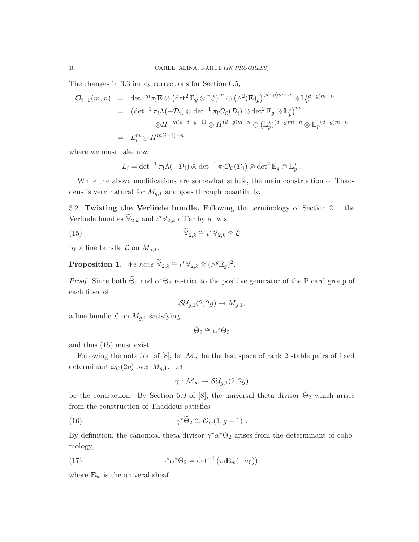The changes in 3.3 imply corrections for Section 6.5,

$$
\mathcal{O}_{i-1}(m,n) = \det^{-m}\pi_{!}\mathbf{E} \otimes (\det^{2} \mathbb{E}_{g} \otimes \mathbb{L}_{p}^{\star})^{m} \otimes (\wedge^{2}(\mathbf{E})_{p})^{(d-g)m-n} \otimes \mathbb{L}_{p}^{(d-g)m-n}
$$
  
\n
$$
= (\det^{-1}\pi_{!}\Lambda(-\mathcal{D}_{i}) \otimes \det^{-1}\pi_{!}\mathcal{O}_{\mathcal{C}}(\mathcal{D}_{i}) \otimes \det^{2} \mathbb{E}_{g} \otimes \mathbb{L}_{p}^{\star})^{m}
$$
  
\n
$$
\otimes H^{-m(d-i-g+1)} \otimes H^{(d-g)m-n} \otimes (\mathbb{L}_{p}^{\star})^{(d-g)m-n} \otimes \mathbb{L}_{p}^{(d-g)m-n}
$$
  
\n
$$
= L_{i}^{m} \otimes H^{m(i-1)-n}
$$

where we must take now

$$
L_i = \det^{-1} \pi_! \Lambda(-\mathcal{D}_i) \otimes \det^{-1} \pi_! \mathcal{O}_{\mathcal{C}}(\mathcal{D}_i) \otimes \det^2 \mathbb{E}_g \otimes \mathbb{L}_p^{\star}.
$$

While the above modifications are somewhat subtle, the main construction of Thaddeus is very natural for  $M_{g,1}$  and goes through beautifully.

3.2. Twisting the Verlinde bundle. Following the terminology of Section 2.1, the Verlinde bundles  $\widetilde{\mathbb{V}}_{2,k}$  and  $\iota^{\star}\mathbb{V}_{2,k}$  differ by a twist

(15) 
$$
\widetilde{\mathbb{V}}_{2,k} \cong \iota^{\star} \mathbb{V}_{2,k} \otimes \mathcal{L}
$$

by a line bundle  $\mathcal L$  on  $M_{g,1}$ .

**Proposition 1.** We have  $\widetilde{\mathbb{V}}_{2,k} \cong \iota^* \mathbb{V}_{2,k} \otimes (\wedge^g \mathbb{E}_g)^2$ .

*Proof.* Since both  $\tilde{\Theta}_2$  and  $\alpha^* \Theta_2$  restrict to the positive generator of the Picard group of each fiber of

$$
\mathcal{SU}_{g,1}(2,2g)\to M_{g,1},
$$

a line bundle  $\mathcal L$  on  $M_{g,1}$  satisfying

$$
\widetilde{\Theta}_2 \cong \alpha^{\star} \Theta_2
$$

and thus (15) must exist.

Following the notation of [8], let  $\mathcal{M}_w$  be the last space of rank 2 stable pairs of fixed determinant  $\omega_C(2p)$  over  $M_{g,1}$ . Let

$$
\gamma: \mathcal{M}_w \to \mathcal{S}\mathcal{U}_{g,1}(2,2g)
$$

be the contraction. By Section 5.9 of [8], the universal theta divisor  $\widetilde{\Theta}_2$  which arises from the construction of Thaddeus satisfies

(16) 
$$
\gamma^{\star} \widetilde{\Theta}_2 \cong \mathcal{O}_w(1, g-1) .
$$

By definition, the canonical theta divisor  $\gamma^* \alpha^* \Theta_2$  arises from the determinant of cohomology,

(17) 
$$
\gamma^* \alpha^* \Theta_2 = \det^{-1} (\pi_! \mathbf{E}_w(-\sigma_0)),
$$

where  $\mathbf{E}_w$  is the univeral sheaf.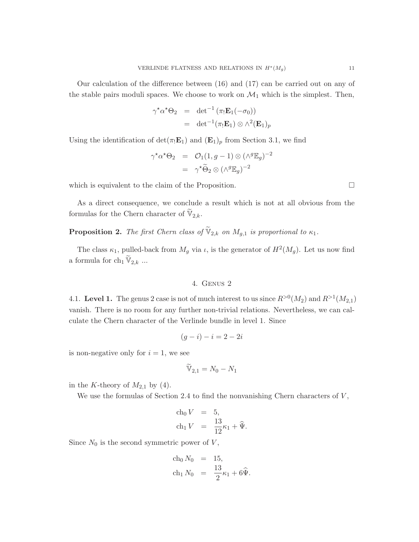Our calculation of the difference between (16) and (17) can be carried out on any of the stable pairs moduli spaces. We choose to work on  $\mathcal{M}_1$  which is the simplest. Then,

$$
\gamma^{\star}\alpha^{\star}\Theta_2 = \det^{-1} (\pi_! \mathbf{E}_1(-\sigma_0))
$$
  
= 
$$
\det^{-1} (\pi_! \mathbf{E}_1) \otimes \wedge^2 (\mathbf{E}_1)_p
$$

Using the identification of  $\det(\pi_1 \mathbf{E}_1)$  and  $(\mathbf{E}_1)_p$  from Section 3.1, we find

$$
\gamma^{\star}\alpha^{\star}\Theta_2 = \mathcal{O}_1(1, g-1) \otimes (\wedge^g \mathbb{E}_g)^{-2}
$$

$$
= \gamma^{\star}\widetilde{\Theta}_2 \otimes (\wedge^g \mathbb{E}_g)^{-2}
$$

which is equivalent to the claim of the Proposition.  $\Box$ 

As a direct consequence, we conclude a result which is not at all obvious from the formulas for the Chern character of  $\mathbb{V}_{2,k}$ .

**Proposition 2.** The first Chern class of  $\mathbb{V}_{2,k}$  on  $M_{g,1}$  is proportional to  $\kappa_1$ .

The class  $\kappa_1$ , pulled-back from  $M_g$  via  $\iota$ , is the generator of  $H^2(M_g)$ . Let us now find a formula for  $\ch_1 \mathbb{V}_{2,k}$  ...

## 4. Genus 2

4.1. Level 1. The genus 2 case is not of much interest to us since  $R^{>0}(M_2)$  and  $R^{>1}(M_{2,1})$ vanish. There is no room for any further non-trivial relations. Nevertheless, we can calculate the Chern character of the Verlinde bundle in level 1. Since

$$
(g-i) - i = 2 - 2i
$$

is non-negative only for  $i = 1$ , we see

$$
\mathbb{V}_{2,1}=N_0-N_1
$$

in the K-theory of  $M_{2,1}$  by (4).

We use the formulas of Section 2.4 to find the nonvanishing Chern characters of  $V$ ,

$$
\begin{array}{rcl}\n\text{ch}_0 V & = & 5, \\
\text{ch}_1 V & = & \frac{13}{12} \kappa_1 + \widehat{\Psi}.\n\end{array}
$$

Since  $N_0$  is the second symmetric power of  $V$ ,

$$
\begin{array}{rcl}\n\text{ch}_0 N_0 & = & 15, \\
\text{ch}_1 N_0 & = & \frac{13}{2} \kappa_1 + 6 \widehat{\Psi}.\n\end{array}
$$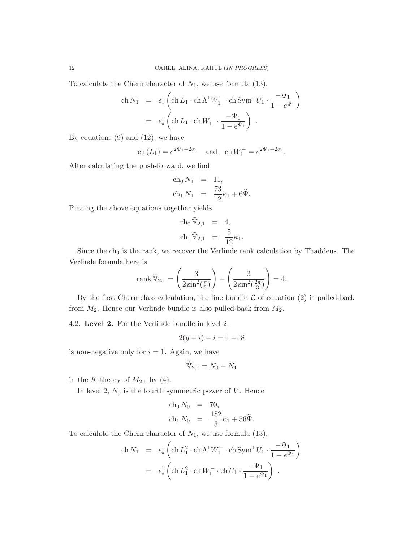To calculate the Chern character of  $N_1$ , we use formula (13),

$$
\begin{array}{rcl}\n\text{ch}\,N_1 & = & \epsilon_\star^1 \left( \text{ch}\,L_1 \cdot \text{ch}\, \Lambda^1 W_1^- \cdot \text{ch}\, \text{Sym}^0 \, U_1 \cdot \frac{-\Psi_1}{1 - e^{\Psi_1}} \right) \\
& = & \epsilon_\star^1 \left( \text{ch}\,L_1 \cdot \text{ch}\, W_1^- \cdot \frac{-\Psi_1}{1 - e^{\Psi_1}} \right) \ .\n\end{array}
$$

By equations  $(9)$  and  $(12)$ , we have

$$
\text{ch}(L_1) = e^{2\Psi_1 + 2\sigma_1}
$$
 and  $\text{ch} W_1^- = e^{2\Psi_1 + 2\sigma_1}$ .

After calculating the push-forward, we find

$$
\begin{array}{rcl}\n\text{ch}_0 N_1 & = & 11, \\
\text{ch}_1 N_1 & = & \frac{73}{12} \kappa_1 + 6 \widehat{\Psi}.\n\end{array}
$$

Putting the above equations together yields

$$
\begin{aligned}\n\operatorname{ch}_0 \widetilde{\mathbb{V}}_{2,1} &= 4, \\
\operatorname{ch}_1 \widetilde{\mathbb{V}}_{2,1} &= \frac{5}{12} \kappa_1.\n\end{aligned}
$$

Since the  $ch_0$  is the rank, we recover the Verlinde rank calculation by Thaddeus. The Verlinde formula here is

$$
\operatorname{rank}\widetilde{\mathbb{V}}_{2,1} = \left(\frac{3}{2\sin^2(\frac{\pi}{3})}\right) + \left(\frac{3}{2\sin^2(\frac{2\pi}{3})}\right) = 4.
$$

By the first Chern class calculation, the line bundle  $\mathcal L$  of equation (2) is pulled-back from  $M_2$ . Hence our Verlinde bundle is also pulled-back from  $M_2$ .

4.2. Level 2. For the Verlinde bundle in level 2,

$$
2(g-i) - i = 4 - 3i
$$

is non-negative only for  $i = 1$ . Again, we have

$$
\widetilde{\mathbb{V}}_{2,1}=N_0-N_1
$$

in the K-theory of  $M_{2,1}$  by (4).

In level 2,  $N_0$  is the fourth symmetric power of  $V$ . Hence

$$
\begin{array}{rcl}\n\text{ch}_0 N_0 & = & 70, \\
\text{ch}_1 N_0 & = & \frac{182}{3} \kappa_1 + 56 \widehat{\Psi}.\n\end{array}
$$

To calculate the Chern character of  $N_1$ , we use formula (13),

$$
\begin{array}{rcl}\n\text{ch}\,N_1 & = & \epsilon_\star^1 \left( \text{ch}\,L_1^2 \cdot \text{ch}\,\Lambda^1 W_1^- \cdot \text{ch}\,\text{Sym}^1 U_1 \cdot \frac{-\Psi_1}{1 - e^{\Psi_1}} \right) \\
& = & \epsilon_\star^1 \left( \text{ch}\,L_1^2 \cdot \text{ch}\,W_1^- \cdot \text{ch}\,U_1 \cdot \frac{-\Psi_1}{1 - e^{\Psi_1}} \right) \ .\n\end{array}
$$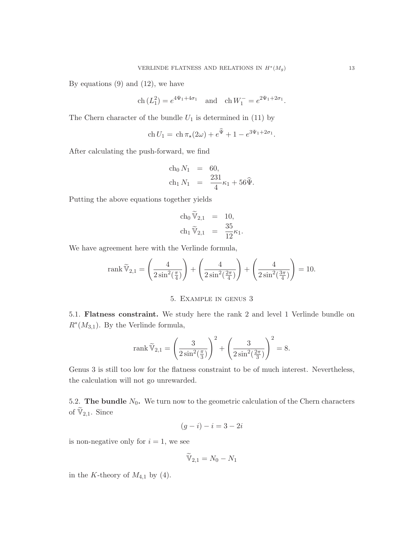By equations  $(9)$  and  $(12)$ , we have

$$
\text{ch}(L_1^2) = e^{4\Psi_1 + 4\sigma_1}
$$
 and  $\text{ch} W_1^- = e^{2\Psi_1 + 2\sigma_1}$ .

The Chern character of the bundle  $U_1$  is determined in (11) by

$$
\operatorname{ch} U_1 = \operatorname{ch} \pi_*(2\omega) + e^{\widehat{\Psi}} + 1 - e^{3\Psi_1 + 2\sigma_1}.
$$

After calculating the push-forward, we find

$$
\begin{array}{rcl}\n\text{ch}_0 N_1 & = & 60, \\
\text{ch}_1 N_1 & = & \frac{231}{4} \kappa_1 + 56 \hat{\Psi}.\n\end{array}
$$

Putting the above equations together yields

$$
\begin{aligned}\n\operatorname{ch}_0 \widetilde{\mathbb{V}}_{2,1} &= 10, \\
\operatorname{ch}_1 \widetilde{\mathbb{V}}_{2,1} &= \frac{35}{12} \kappa_1.\n\end{aligned}
$$

We have agreement here with the Verlinde formula,

rank 
$$
\widetilde{V}_{2,1} = \left(\frac{4}{2\sin^2(\frac{\pi}{4})}\right) + \left(\frac{4}{2\sin^2(\frac{2\pi}{4})}\right) + \left(\frac{4}{2\sin^2(\frac{3\pi}{4})}\right) = 10.
$$

## 5. Example in genus 3

5.1. Flatness constraint. We study here the rank 2 and level 1 Verlinde bundle on  $R^*(M_{3,1})$ . By the Verlinde formula,

rank 
$$
\widetilde{\mathbb{V}}_{2,1} = \left(\frac{3}{2\sin^2(\frac{\pi}{3})}\right)^2 + \left(\frac{3}{2\sin^2(\frac{2\pi}{3})}\right)^2 = 8.
$$

Genus 3 is still too low for the flatness constraint to be of much interest. Nevertheless, the calculation will not go unrewarded.

5.2. The bundle  $N_0$ . We turn now to the geometric calculation of the Chern characters of  $\widetilde{\mathbb{V}}_{2,1}$ . Since

$$
(g-i) - i = 3 - 2i
$$

is non-negative only for  $i = 1$ , we see

$$
\widetilde{\mathbb{V}}_{2,1} = N_0 - N_1
$$

in the K-theory of  $M_{4,1}$  by (4).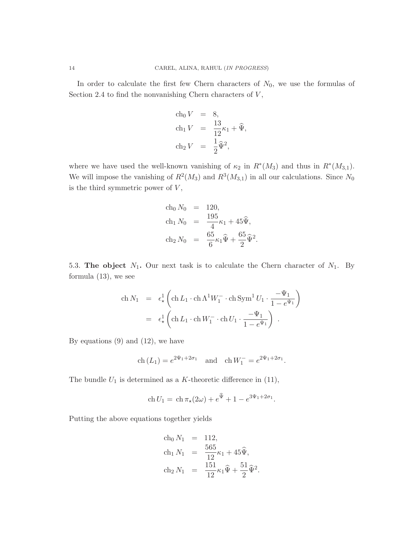In order to calculate the first few Chern characters of  $N_0$ , we use the formulas of Section 2.4 to find the nonvanishing Chern characters of  $V$ ,

$$
\begin{aligned}\n\text{ch}_0 V &= 8, \\
\text{ch}_1 V &= \frac{13}{12} \kappa_1 + \widehat{\Psi}, \\
\text{ch}_2 V &= \frac{1}{2} \widehat{\Psi}^2,\n\end{aligned}
$$

where we have used the well-known vanishing of  $\kappa_2$  in  $R^*(M_3)$  and thus in  $R^*(M_{3,1})$ . We will impose the vanishing of  $R^2(M_3)$  and  $R^3(M_{3,1})$  in all our calculations. Since  $N_0$ is the third symmetric power of  $V$ ,

$$
\begin{array}{rcl}\n\text{ch}_0 N_0 & = & 120, \\
\text{ch}_1 N_0 & = & \frac{195}{4} \kappa_1 + 45 \widehat{\Psi}, \\
\text{ch}_2 N_0 & = & \frac{65}{6} \kappa_1 \widehat{\Psi} + \frac{65}{2} \widehat{\Psi}^2.\n\end{array}
$$

5.3. The object  $N_1$ . Our next task is to calculate the Chern character of  $N_1$ . By formula (13), we see

$$
\begin{array}{rcl} \displaystyle \operatorname{ch} N_1 & = & \displaystyle \epsilon_\star^1 \left( \operatorname{ch} L_1 \cdot \operatorname{ch} \Lambda^1 W_1^- \cdot \operatorname{ch} \operatorname{Sym}^1 U_1 \cdot \frac{-\Psi_1}{1-e^{\Psi_1}} \right) \\ \\ & = & \displaystyle \epsilon_\star^1 \left( \operatorname{ch} L_1 \cdot \operatorname{ch} W_1^- \cdot \operatorname{ch} U_1 \cdot \frac{-\Psi_1}{1-e^{\Psi_1}} \right) \ . \end{array}
$$

By equations  $(9)$  and  $(12)$ , we have

$$
\text{ch}(L_1) = e^{2\Psi_1 + 2\sigma_1}
$$
 and  $\text{ch} W_1^- = e^{2\Psi_1 + 2\sigma_1}$ .

The bundle  $U_1$  is determined as a K-theoretic difference in (11),

$$
\mathrm{ch} U_1 = \mathrm{ch} \, \pi_*(2\omega) + e^{\widehat{\Psi}} + 1 - e^{3\Psi_1 + 2\sigma_1}.
$$

Putting the above equations together yields

ch<sub>0</sub> N<sub>1</sub> = 112,  
\nch<sub>1</sub> N<sub>1</sub> = 
$$
\frac{565}{12} \kappa_1 + 45 \hat{\Psi}
$$
,  
\nch<sub>2</sub> N<sub>1</sub> =  $\frac{151}{12} \kappa_1 \hat{\Psi} + \frac{51}{2} \hat{\Psi}^2$ .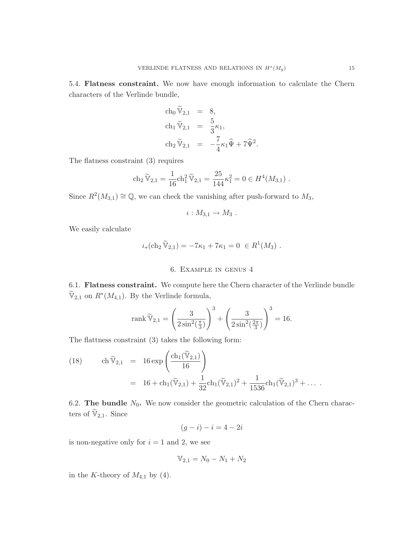5.4. Flatness constraint. We now have enough information to calculate the Chern characters of the Verlinde bundle,

$$
\begin{aligned}\n\text{ch}_0 \,\widetilde{\mathbb{V}}_{2,1} &= 8, \\
\text{ch}_1 \,\widetilde{\mathbb{V}}_{2,1} &= \frac{5}{3}\kappa_1, \\
\text{ch}_2 \,\widetilde{\mathbb{V}}_{2,1} &= -\frac{7}{4}\kappa_1 \widehat{\Psi} + 7\widehat{\Psi}^2\n\end{aligned}
$$

.

The flatness constraint (3) requires

$$
\operatorname{ch}_2 \widetilde{\mathbb{V}}_{2,1} = \frac{1}{16} \operatorname{ch}_1^2 \widetilde{\mathbb{V}}_{2,1} = \frac{25}{144} \kappa_1^2 = 0 \in H^4(M_{3,1}) .
$$

Since  $R^2(M_{3,1}) \cong \mathbb{Q}$ , we can check the vanishing after push-forward to  $M_3$ ,

$$
\iota: M_{3,1} \to M_3.
$$

We easily calculate

$$
\iota_*(\mathrm{ch}_2 \widetilde{\mathbb{V}}_{2,1}) = -7\kappa_1 + 7\kappa_1 = 0 \in R^1(M_3) .
$$

#### 6. Example in genus 4

6.1. Flatness constraint. We compute here the Chern character of the Verlinde bundle  $\widetilde{\mathbb{V}}_{2,1}$  on  $R^*(M_{4,1})$ . By the Verlinde formula,

rank 
$$
\widetilde{\mathbb{V}}_{2,1} = \left(\frac{3}{2\sin^2(\frac{\pi}{3})}\right)^3 + \left(\frac{3}{2\sin^2(\frac{2\pi}{3})}\right)^3 = 16.
$$

The flattness constraint (3) takes the following form:

(18) 
$$
\operatorname{ch} \widetilde{\mathbb{V}}_{2,1} = 16 \exp \left( \frac{\operatorname{ch}_1(\widetilde{\mathbb{V}}_{2,1})}{16} \right)
$$

$$
= 16 + \operatorname{ch}_1(\widetilde{\mathbb{V}}_{2,1}) + \frac{1}{32} \operatorname{ch}_1(\widetilde{\mathbb{V}}_{2,1})^2 + \frac{1}{1536} \operatorname{ch}_1(\widetilde{\mathbb{V}}_{2,1})^3 + \dots
$$

6.2. The bundle  $N_0$ . We now consider the geometric calculation of the Chern characters of  $\widetilde{\mathbb{V}}_{2,1}$ . Since

$$
(g-i) - i = 4 - 2i
$$

is non-negative only for  $i = 1$  and 2, we see

$$
V_{2,1} = N_0 - N_1 + N_2
$$

in the K-theory of  $M_{4,1}$  by (4).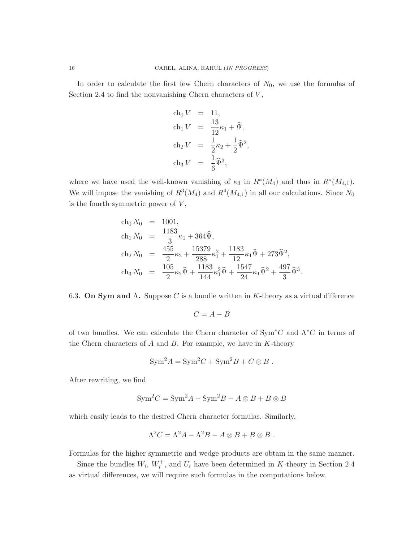In order to calculate the first few Chern characters of  $N_0$ , we use the formulas of Section 2.4 to find the nonvanishing Chern characters of  $V$ ,

$$
\begin{aligned}\n\text{ch}_0 V &= 11, \\
\text{ch}_1 V &= \frac{13}{12} \kappa_1 + \widehat{\Psi}, \\
\text{ch}_2 V &= \frac{1}{2} \kappa_2 + \frac{1}{2} \widehat{\Psi}^2, \\
\text{ch}_3 V &= \frac{1}{6} \widehat{\Psi}^3,\n\end{aligned}
$$

where we have used the well-known vanishing of  $\kappa_3$  in  $R^*(M_4)$  and thus in  $R^*(M_{4,1})$ . We will impose the vanishing of  $R^3(M_4)$  and  $R^4(M_{4,1})$  in all our calculations. Since  $N_0$ is the fourth symmetric power of  $V$ ,

$$
\begin{array}{rcl}\n\text{ch}_0 N_0 & = & 1001, \\
\text{ch}_1 N_0 & = & \frac{1183}{3} \kappa_1 + 364 \hat{\Psi}, \\
\text{ch}_2 N_0 & = & \frac{455}{2} \kappa_2 + \frac{15379}{288} \kappa_1^2 + \frac{1183}{12} \kappa_1 \hat{\Psi} + 273 \hat{\Psi}^2, \\
\text{ch}_3 N_0 & = & \frac{105}{2} \kappa_2 \hat{\Psi} + \frac{1183}{144} \kappa_1^2 \hat{\Psi} + \frac{1547}{24} \kappa_1 \hat{\Psi}^2 + \frac{497}{3} \hat{\Psi}^3\n\end{array}
$$

6.3. On Sym and  $\Lambda$ . Suppose C is a bundle written in K-theory as a virtual difference

.

$$
C = A - B
$$

of two bundles. We can calculate the Chern character of  $\text{Sym}^*C$  and  $\Lambda^*C$  in terms of the Chern characters of  $A$  and  $B$ . For example, we have in  $K$ -theory

$$
Sym2 A = Sym2 C + Sym2 B + C \otimes B.
$$

After rewriting, we find

$$
Sym2C = Sym2A - Sym2B - A \otimes B + B \otimes B
$$

which easily leads to the desired Chern character formulas. Similarly,

$$
\Lambda^2 C = \Lambda^2 A - \Lambda^2 B - A \otimes B + B \otimes B.
$$

Formulas for the higher symmetric and wedge products are obtain in the same manner.

Since the bundles  $W_i$ ,  $W_i^+$ , and  $U_i$  have been determined in K-theory in Section 2.4 as virtual differences, we will require such formulas in the computations below.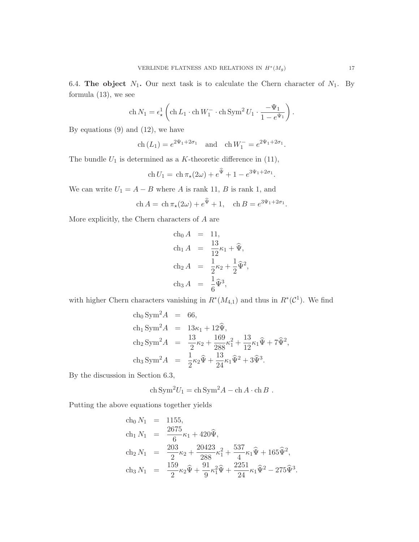6.4. The object  $N_1$ . Our next task is to calculate the Chern character of  $N_1$ . By formula (13), we see

$$
\operatorname{ch} N_1 = \epsilon_\star^1 \left( \operatorname{ch} L_1 \cdot \operatorname{ch} W_1^- \cdot \operatorname{ch} \operatorname{Sym}^2 U_1 \cdot \frac{-\Psi_1}{1 - e^{\Psi_1}} \right).
$$

By equations  $(9)$  and  $(12)$ , we have

ch  $(L_1) = e^{2\Psi_1 + 2\sigma_1}$  and  $\operatorname{ch} W_1^- = e^{2\Psi_1 + 2\sigma_1}$ .

The bundle  $U_1$  is determined as a K-theoretic difference in (11),

$$
\operatorname{ch} U_1 = \operatorname{ch} \pi_*(2\omega) + e^{\widehat{\Psi}} + 1 - e^{3\Psi_1 + 2\sigma_1}.
$$

We can write  $U_1 = A - B$  where A is rank 11, B is rank 1, and

$$
\text{ch}\,A = \text{ch}\,\pi_*(2\omega) + e^{\hat{\Psi}} + 1, \quad \text{ch}\,B = e^{3\Psi_1 + 2\sigma_1}.
$$

More explicitly, the Chern characters of  $A$  are

ch<sub>0</sub> A = 11,  
\nch<sub>1</sub> A = 
$$
\frac{13}{12} \kappa_1 + \hat{\Psi}
$$
,  
\nch<sub>2</sub> A =  $\frac{1}{2} \kappa_2 + \frac{1}{2} \hat{\Psi}^2$ ,  
\nch<sub>3</sub> A =  $\frac{1}{6} \hat{\Psi}^3$ ,

with higher Chern characters vanishing in  $R^*(M_{4,1})$  and thus in  $R^*(\mathcal{C}^1)$ . We find

ch<sub>0</sub> Sym<sup>2</sup> A = 66,  
\nch<sub>1</sub> Sym<sup>2</sup> A = 13
$$
\kappa_1
$$
 + 12 $\hat{\Psi}$ ,  
\nch<sub>2</sub> Sym<sup>2</sup> A =  $\frac{13}{2}$  $\kappa_2$  +  $\frac{169}{288}$  $\kappa_1^2$  +  $\frac{13}{12}$  $\kappa_1 \hat{\Psi}$  + 7 $\hat{\Psi}^2$ ,  
\nch<sub>3</sub> Sym<sup>2</sup> A =  $\frac{1}{2}$  $\kappa_2 \hat{\Psi}$  +  $\frac{13}{24}$  $\kappa_1 \hat{\Psi}^2$  + 3 $\hat{\Psi}^3$ .

By the discussion in Section 6.3,

$$
\operatorname{ch} \operatorname{Sym}^2 U_1 = \operatorname{ch} \operatorname{Sym}^2 A - \operatorname{ch} A \cdot \operatorname{ch} B.
$$

Putting the above equations together yields

ch<sub>0</sub> N<sub>1</sub> = 1155,  
\nch<sub>1</sub> N<sub>1</sub> = 
$$
\frac{2675}{6} \kappa_1 + 420 \hat{\Psi}
$$
,  
\nch<sub>2</sub> N<sub>1</sub> =  $\frac{203}{2} \kappa_2 + \frac{20423}{288} \kappa_1^2 + \frac{537}{4} \kappa_1 \hat{\Psi} + 165 \hat{\Psi}^2$ ,  
\nch<sub>3</sub> N<sub>1</sub> =  $\frac{159}{2} \kappa_2 \hat{\Psi} + \frac{91}{9} \kappa_1^2 \hat{\Psi} + \frac{2251}{24} \kappa_1 \hat{\Psi}^2 - 275 \hat{\Psi}^3$ .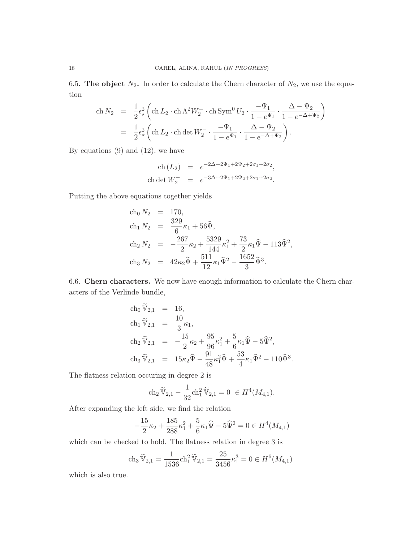6.5. The object  $N_2$ . In order to calculate the Chern character of  $N_2$ , we use the equation

$$
\begin{array}{rcl}\n\text{ch}\,N_2 &=& \frac{1}{2}\epsilon_\star^2 \left(\text{ch}\,L_2 \cdot \text{ch}\, \Lambda^2 W_2^- \cdot \text{ch}\, \text{Sym}^0 \, U_2 \cdot \frac{-\Psi_1}{1 - e^{\Psi_1}} \cdot \frac{\Delta - \Psi_2}{1 - e^{-\Delta + \Psi_2}}\right) \\
&=& \frac{1}{2}\epsilon_\star^2 \left(\text{ch}\,L_2 \cdot \text{ch}\, \text{det}\, W_2^- \cdot \frac{-\Psi_1}{1 - e^{\Psi_1}} \cdot \frac{\Delta - \Psi_2}{1 - e^{-\Delta + \Psi_2}}\right).\n\end{array}
$$

By equations  $(9)$  and  $(12)$ , we have

ch 
$$
(L_2)
$$
 =  $e^{-2\Delta + 2\Psi_1 + 2\Psi_2 + 2\sigma_1 + 2\sigma_2}$ ,  
ch det  $W_2^-$  =  $e^{-3\Delta + 2\Psi_1 + 2\Psi_2 + 2\sigma_1 + 2\sigma_2}$ .

Putting the above equations together yields

ch<sub>0</sub> 
$$
N_2
$$
 = 170,  
\nch<sub>1</sub>  $N_2$  =  $\frac{329}{6} \kappa_1 + 56 \hat{\Psi}$ ,  
\nch<sub>2</sub>  $N_2$  =  $-\frac{267}{2} \kappa_2 + \frac{5329}{144} \kappa_1^2 + \frac{73}{2} \kappa_1 \hat{\Psi} - 113 \hat{\Psi}^2$ ,  
\nch<sub>3</sub>  $N_2$  =  $42 \kappa_2 \hat{\Psi} + \frac{511}{12} \kappa_1 \hat{\Psi}^2 - \frac{1652}{3} \hat{\Psi}^3$ .

6.6. Chern characters. We now have enough information to calculate the Chern characters of the Verlinde bundle,

$$
\begin{array}{rcl}\n\ch_0 \widetilde{\mathbb{V}}_{2,1} & = & 16, \\
\ch_1 \widetilde{\mathbb{V}}_{2,1} & = & \frac{10}{3} \kappa_1, \\
\ch_2 \widetilde{\mathbb{V}}_{2,1} & = & -\frac{15}{2} \kappa_2 + \frac{95}{96} \kappa_1^2 + \frac{5}{6} \kappa_1 \widehat{\Psi} - 5 \widehat{\Psi}^2, \\
\ch_3 \widetilde{\mathbb{V}}_{2,1} & = & 15 \kappa_2 \widehat{\Psi} - \frac{91}{48} \kappa_1^2 \widehat{\Psi} + \frac{53}{4} \kappa_1 \widehat{\Psi}^2 - 110 \widehat{\Psi}^3.\n\end{array}
$$

The flatness relation occuring in degree 2 is

$$
\operatorname{ch}_2 \widetilde{\mathbb{V}}_{2,1} - \frac{1}{32} \operatorname{ch}_1^2 \widetilde{\mathbb{V}}_{2,1} = 0 \in H^4(M_{4,1}).
$$

After expanding the left side, we find the relation

$$
-\frac{15}{2}\kappa_2 + \frac{185}{288}\kappa_1^2 + \frac{5}{6}\kappa_1\hat{\Psi} - 5\hat{\Psi}^2 = 0 \in H^4(M_{4,1})
$$

which can be checked to hold. The flatness relation in degree 3 is

$$
\operatorname{ch}_3 \widetilde{\mathbb{V}}_{2,1} = \frac{1}{1536} \operatorname{ch}_1^2 \widetilde{\mathbb{V}}_{2,1} = \frac{25}{3456} \kappa_1^3 = 0 \in H^6(M_{4,1})
$$

which is also true.